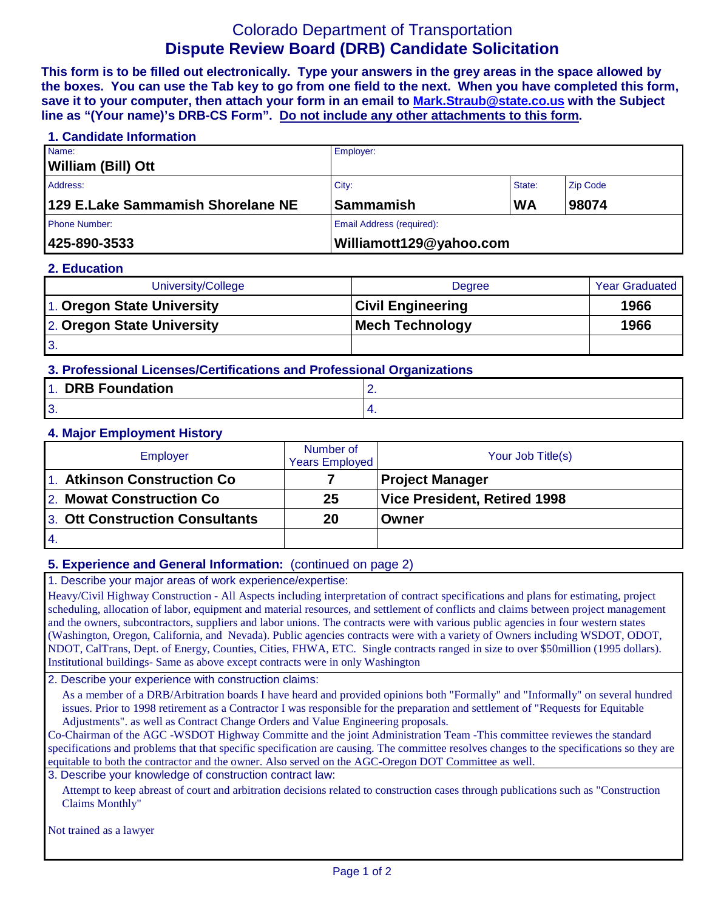# Colorado Department of Transportation **Dispute Review Board (DRB) Candidate Solicitation**

**This form is to be filled out electronically. Type your answers in the grey areas in the space allowed by the boxes. You can use the Tab key to go from one field to the next. When you have completed this form, save it to your computer, then attach your form in an email to [Mark.Straub@state.co.us](mailto:Mark.Straub@state.co.us?subject=Dispute%20Review%20Board%20(DRB)%20Candidate%20Solicitation) with the Subject line as "(Your name)'s DRB-CS Form". Do not include any other attachments to this form.**

#### **1. Candidate Information**

| 425-890-3533                      | Williamott129@yahoo.com   |           |                 |
|-----------------------------------|---------------------------|-----------|-----------------|
| <b>Phone Number:</b>              | Email Address (required): |           |                 |
| 129 E.Lake Sammamish Shorelane NE | Sammamish                 | <b>WA</b> | 98074           |
| Address:                          | City:<br>State:           |           | <b>Zip Code</b> |
| William (Bill) Ott                |                           |           |                 |
| Name:                             | Employer:                 |           |                 |

#### **2. Education**

| University/College         | Degree                   | <b>Year Graduated</b> |
|----------------------------|--------------------------|-----------------------|
| 1. Oregon State University | <b>Civil Engineering</b> | 1966                  |
| 2. Oregon State University | Mech Technology          | 1966                  |
| <b>3.</b>                  |                          |                       |

## **3. Professional Licenses/Certifications and Professional Organizations**

| <b>DRB Foundation</b><br>$\sim$ 1. | -   |
|------------------------------------|-----|
| י<br>. .                           | . . |

#### **4. Major Employment History**

| Employer                        | Number of<br><b>Years Employed</b> | Your Job Title(s)            |
|---------------------------------|------------------------------------|------------------------------|
| 1. Atkinson Construction Co     |                                    | <b>Project Manager</b>       |
| 2. Mowat Construction Co.       | 25                                 | Vice President, Retired 1998 |
| 3. Ott Construction Consultants | 20                                 | Owner                        |
| $\overline{14}$ .               |                                    |                              |

## **5. Experience and General Information:** (continued on page 2)

1. Describe your major areas of work experience/expertise:

Heavy/Civil Highway Construction - All Aspects including interpretation of contract specifications and plans for estimating, project scheduling, allocation of labor, equipment and material resources, and settlement of conflicts and claims between project management and the owners, subcontractors, suppliers and labor unions. The contracts were with various public agencies in four western states (Washington, Oregon, California, and Nevada). Public agencies contracts were with a variety of Owners including WSDOT, ODOT, NDOT, CalTrans, Dept. of Energy, Counties, Cities, FHWA, ETC. Single contracts ranged in size to over \$50million (1995 dollars). Institutional buildings- Same as above except contracts were in only Washington

2. Describe your experience with construction claims:

As a member of a DRB/Arbitration boards I have heard and provided opinions both "Formally" and "Informally" on several hundred issues. Prior to 1998 retirement as a Contractor I was responsible for the preparation and settlement of "Requests for Equitable Adjustments". as well as Contract Change Orders and Value Engineering proposals.

Co-Chairman of the AGC -WSDOT Highway Committe and the joint Administration Team -This committee reviewes the standard specifications and problems that that specific specification are causing. The committee resolves changes to the specifications so they are equitable to both the contractor and the owner. Also served on the AGC-Oregon DOT Committee as well.

#### 3. Describe your knowledge of construction contract law:

Attempt to keep abreast of court and arbitration decisions related to construction cases through publications such as "Construction Claims Monthly"

Not trained as a lawyer